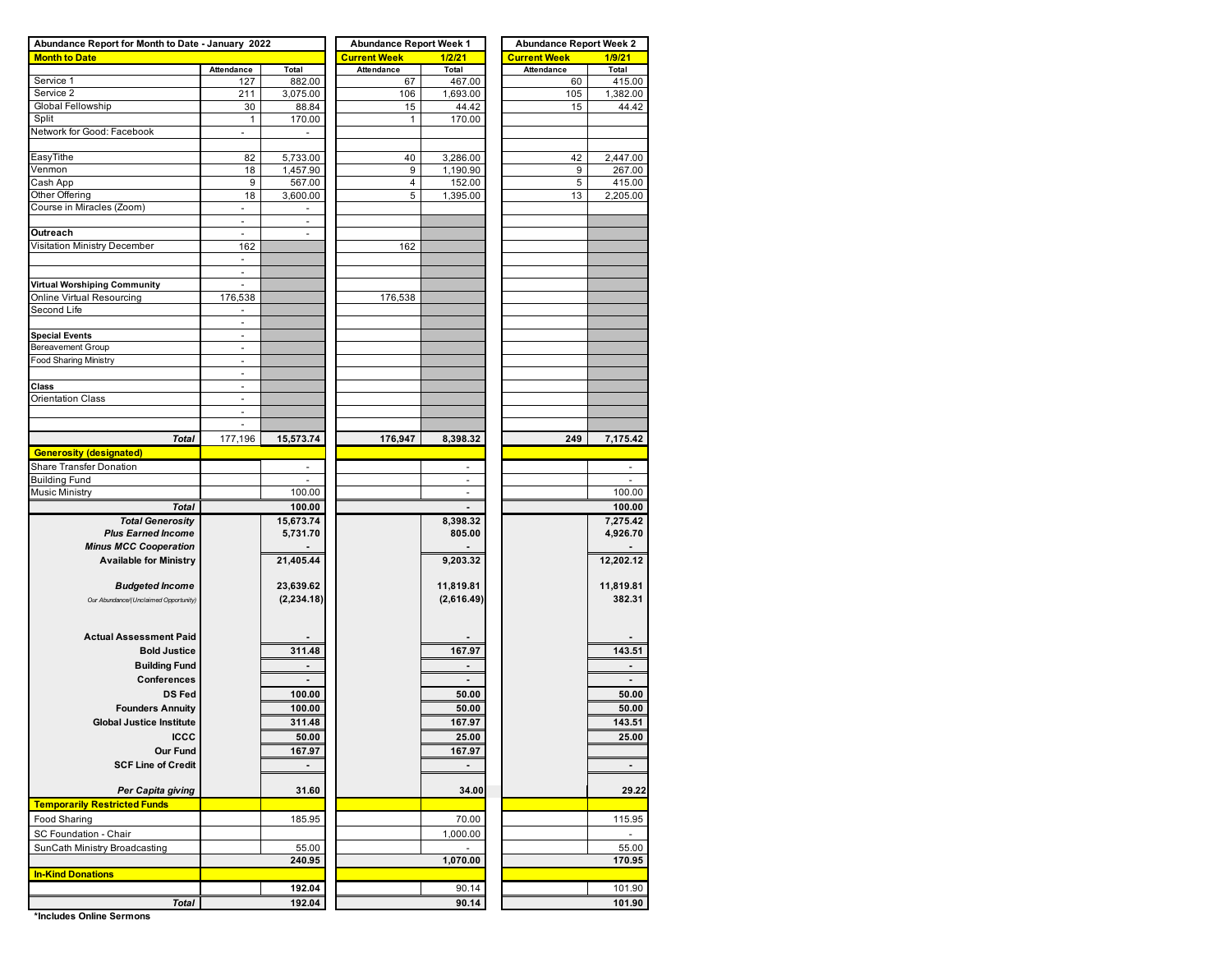| Abundance Report for Month to Date - January 2022 |                          |                          | <b>Abundance Report Week 1</b> |                | <b>Abundance Report Week 2</b> |                          |  |  |  |  |
|---------------------------------------------------|--------------------------|--------------------------|--------------------------------|----------------|--------------------------------|--------------------------|--|--|--|--|
| <b>Month to Date</b>                              |                          |                          | <b>Current Week</b>            | 1/2/21         | <b>Current Week</b>            | 1/9/21                   |  |  |  |  |
|                                                   | Attendance               | Total                    | <b>Attendance</b>              | Total          | <b>Attendance</b>              | Total                    |  |  |  |  |
| Service 1                                         | 127                      | 882.00                   | 67                             | 467.00         | 60                             | 415.00                   |  |  |  |  |
| Service 2                                         | 211                      | 3,075.00                 | 106                            | 1,693.00       | 105                            | 1,382.00                 |  |  |  |  |
| Global Fellowship                                 | 30                       | 88.84                    | 15                             | 44.42          | 15                             | 44.42                    |  |  |  |  |
| Split                                             | 1                        | 170.00                   | 1                              | 170.00         |                                |                          |  |  |  |  |
| Network for Good: Facebook                        | $\blacksquare$           |                          |                                |                |                                |                          |  |  |  |  |
|                                                   |                          |                          |                                |                |                                |                          |  |  |  |  |
| EasyTithe                                         | 82                       | 5,733.00                 | 40                             | 3,286.00       | 42                             | 2,447.00                 |  |  |  |  |
| Venmon                                            | 18                       | 1,457.90                 | 9                              | 1,190.90       | 9                              | 267.00                   |  |  |  |  |
| Cash App                                          | 9                        | 567.00                   | 4                              | 152.00         | 5                              | 415.00                   |  |  |  |  |
| Other Offering                                    | 18                       | 3,600.00                 | 5                              | 1,395.00       | 13                             | 2,205.00                 |  |  |  |  |
| Course in Miracles (Zoom)                         | $\overline{\phantom{a}}$ | $\sim$                   |                                |                |                                |                          |  |  |  |  |
|                                                   | $\overline{\phantom{a}}$ | $\overline{\phantom{a}}$ |                                |                |                                |                          |  |  |  |  |
| Outreach                                          |                          |                          |                                |                |                                |                          |  |  |  |  |
| Visitation Ministry December                      | 162                      |                          | 162                            |                |                                |                          |  |  |  |  |
|                                                   | $\sim$                   |                          |                                |                |                                |                          |  |  |  |  |
|                                                   | $\frac{1}{2}$            |                          |                                |                |                                |                          |  |  |  |  |
| Virtual Worshiping Community                      | ä,                       |                          |                                |                |                                |                          |  |  |  |  |
| Online Virtual Resourcing                         | 176,538                  |                          | 176,538                        |                |                                |                          |  |  |  |  |
| Second Life                                       | $\overline{\phantom{a}}$ |                          |                                |                |                                |                          |  |  |  |  |
|                                                   | ä,                       |                          |                                |                |                                |                          |  |  |  |  |
| <b>Special Events</b><br>Bereavement Group        | $\sim$                   |                          |                                |                |                                |                          |  |  |  |  |
| <b>Food Sharing Ministry</b>                      |                          |                          |                                |                |                                |                          |  |  |  |  |
|                                                   | $\overline{a}$           |                          |                                |                |                                |                          |  |  |  |  |
|                                                   | $\blacksquare$           |                          |                                |                |                                |                          |  |  |  |  |
| Class<br><b>Orientation Class</b>                 | $\overline{\phantom{a}}$ |                          |                                |                |                                |                          |  |  |  |  |
|                                                   | $\ddot{\phantom{1}}$     |                          |                                |                |                                |                          |  |  |  |  |
|                                                   |                          |                          |                                |                |                                |                          |  |  |  |  |
|                                                   | 177,196                  |                          |                                |                | 249                            |                          |  |  |  |  |
| Total                                             |                          | 15,573.74                | 176,947                        | 8,398.32       |                                | 7,175.42                 |  |  |  |  |
| <b>Generosity (designated)</b>                    |                          |                          |                                |                |                                |                          |  |  |  |  |
| Share Transfer Donation                           |                          | ä,                       |                                |                |                                |                          |  |  |  |  |
| <b>Building Fund</b>                              |                          | 100.00                   |                                | ÷<br>$\sim$    |                                | 100.00                   |  |  |  |  |
| <b>Music Ministry</b>                             |                          |                          |                                |                |                                |                          |  |  |  |  |
| <b>Total</b>                                      |                          | 100.00                   |                                | $\blacksquare$ |                                | 100.00                   |  |  |  |  |
| <b>Total Generosity</b>                           |                          | 15,673.74                |                                | 8,398.32       |                                | 7,275.42                 |  |  |  |  |
| <b>Plus Earned Income</b>                         |                          | 5,731.70                 |                                | 805.00         |                                | 4,926.70                 |  |  |  |  |
| <b>Minus MCC Cooperation</b>                      |                          |                          |                                |                |                                |                          |  |  |  |  |
| <b>Available for Ministry</b>                     |                          | 21,405.44                |                                | 9,203.32       |                                | 12,202.12                |  |  |  |  |
|                                                   |                          |                          |                                |                |                                |                          |  |  |  |  |
| <b>Budgeted Income</b>                            |                          | 23,639.62                |                                | 11,819.81      |                                | 11,819.81                |  |  |  |  |
| Our Abundance/(Unclaimed Opportunity)             |                          | (2, 234.18)              |                                | (2,616.49)     |                                | 382.31                   |  |  |  |  |
|                                                   |                          |                          |                                |                |                                |                          |  |  |  |  |
|                                                   |                          |                          |                                |                |                                |                          |  |  |  |  |
| <b>Actual Assessment Paid</b>                     |                          |                          |                                |                |                                |                          |  |  |  |  |
| <b>Bold Justice</b>                               |                          | 311.48                   |                                | 167.97         |                                | 143.51                   |  |  |  |  |
| <b>Building Fund</b>                              |                          | ٠                        |                                | $\blacksquare$ |                                | $\blacksquare$           |  |  |  |  |
| Conferences                                       |                          |                          |                                |                |                                |                          |  |  |  |  |
| <b>DS Fed</b>                                     |                          | 100.00                   |                                | 50.00          |                                | 50.00                    |  |  |  |  |
| <b>Founders Annuity</b>                           |                          | 100.00                   |                                | 50.00          |                                | 50.00                    |  |  |  |  |
| <b>Global Justice Institute</b>                   |                          | 311.48                   |                                | 167.97         |                                | 143.51                   |  |  |  |  |
| <b>ICCC</b>                                       |                          | 50.00                    |                                | 25.00          |                                | 25.00                    |  |  |  |  |
| Our Fund                                          |                          | 167.97                   |                                | 167.97         |                                |                          |  |  |  |  |
| <b>SCF Line of Credit</b>                         |                          |                          |                                |                |                                |                          |  |  |  |  |
|                                                   |                          |                          |                                |                |                                | $\blacksquare$           |  |  |  |  |
| Per Capita giving                                 |                          | 31.60                    |                                | 34.00          |                                | 29.22                    |  |  |  |  |
| <b>Temporarily Restricted Funds</b>               |                          |                          |                                |                |                                |                          |  |  |  |  |
|                                                   |                          |                          |                                |                |                                |                          |  |  |  |  |
| Food Sharing                                      |                          | 185.95                   |                                | 70.00          |                                | 115.95                   |  |  |  |  |
| SC Foundation - Chair                             |                          |                          |                                | 1,000.00       |                                | $\overline{\phantom{a}}$ |  |  |  |  |
| SunCath Ministry Broadcasting                     |                          | 55.00                    |                                |                |                                | 55.00                    |  |  |  |  |
|                                                   |                          | 240.95                   |                                | 1,070.00       |                                | 170.95                   |  |  |  |  |
| <b>In-Kind Donations</b>                          |                          |                          |                                |                |                                |                          |  |  |  |  |
|                                                   |                          | 192.04                   |                                | 90.14          |                                | 101.90                   |  |  |  |  |
| Total                                             |                          | 192.04                   |                                | 90.14          |                                | 101.90                   |  |  |  |  |

**\*Includes Online Sermons**